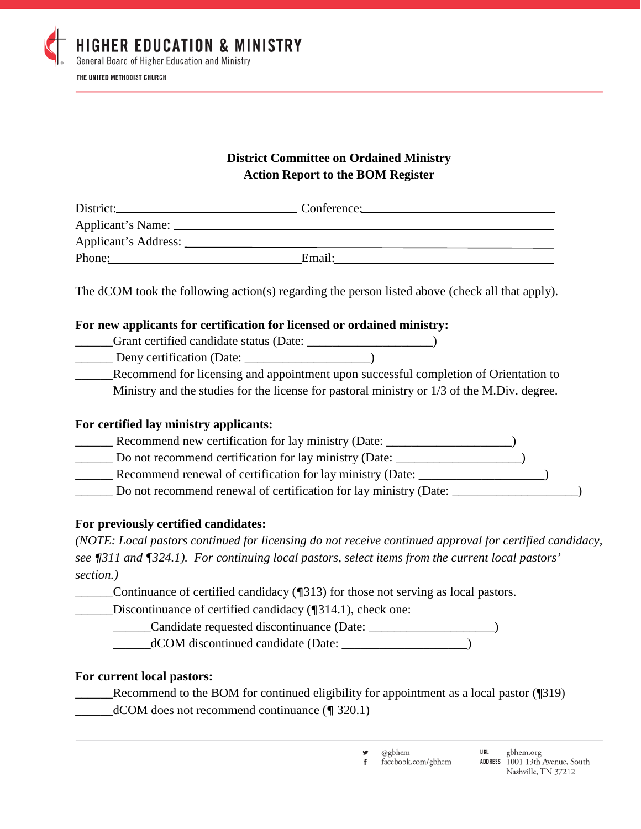

# **District Committee on Ordained Ministry Action Report to the BOM Register**

|                      | Conference: |
|----------------------|-------------|
| Applicant's Name:    |             |
| Applicant's Address: |             |
| Phone:               | Email:      |
|                      |             |

The dCOM took the following action(s) regarding the person listed above (check all that apply).

## **For new applicants for certification for licensed or ordained ministry:**

| Grant certified candidate status (Date: |  |
|-----------------------------------------|--|
| Deny certification (Date:               |  |

Recommend for licensing and appointment upon successful completion of Orientation to Ministry and the studies for the license for pastoral ministry or 1/3 of the M.Div. degree.

### **For certified lay ministry applicants:**

- \_\_\_\_\_\_ Recommend new certification for lay ministry (Date: \_\_\_\_\_\_\_\_\_\_\_\_\_\_\_\_\_\_\_\_)
- \_\_\_\_\_\_ Do not recommend certification for lay ministry (Date: \_\_\_\_\_\_\_\_\_\_\_\_\_\_\_\_\_\_\_\_)
- Recommend renewal of certification for lay ministry (Date:  $\qquad \qquad$ )
- Do not recommend renewal of certification for lay ministry (Date:

## **For previously certified candidates:**

*(NOTE: Local pastors continued for licensing do not receive continued approval for certified candidacy, see ¶311 and ¶324.1). For continuing local pastors, select items from the current local pastors' section.)*

\_\_\_\_\_\_Continuance of certified candidacy (¶313) for those not serving as local pastors.

Discontinuance of certified candidacy (¶314.1), check one:

\_\_\_\_\_\_Candidate requested discontinuance (Date: \_\_\_\_\_\_\_\_\_\_\_\_\_\_\_\_\_\_\_\_) \_\_\_\_\_\_dCOM discontinued candidate (Date: \_\_\_\_\_\_\_\_\_\_\_\_\_\_\_\_\_\_\_\_)

## **For current local pastors:**

- Recommend to the BOM for continued eligibility for appointment as a local pastor (¶319)  $dCOM$  does not recommend continuance ( $\eta$  320.1)
	- @gbhem facebook.com/gbhem f